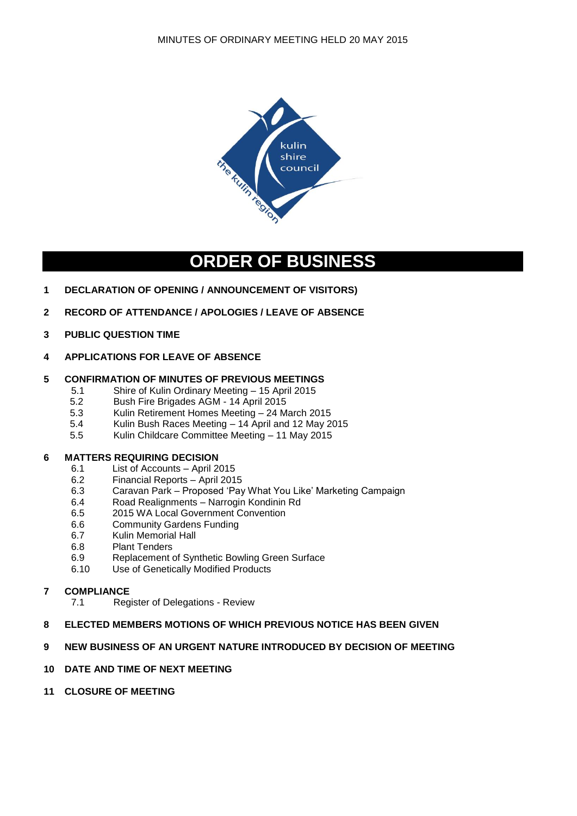

# **ORDER OF BUSINESS**

- **1 DECLARATION OF OPENING / ANNOUNCEMENT OF VISITORS)**
- **2 RECORD OF ATTENDANCE / APOLOGIES / LEAVE OF ABSENCE**
- **3 PUBLIC QUESTION TIME**
- **4 APPLICATIONS FOR LEAVE OF ABSENCE**

# **5 CONFIRMATION OF MINUTES OF PREVIOUS MEETINGS**

- 5.1 Shire of Kulin Ordinary Meeting 15 April 2015
- 5.2 Bush Fire Brigades AGM 14 April 2015
- 5.3 Kulin Retirement Homes Meeting 24 March 2015
- 5.4 Kulin Bush Races Meeting 14 April and 12 May 2015
- 5.5 Kulin Childcare Committee Meeting 11 May 2015

# **6 MATTERS REQUIRING DECISION**

- 6.1 List of Accounts April 2015
- 6.2 Financial Reports April 2015
- 6.3 Caravan Park Proposed 'Pay What You Like' Marketing Campaign
- 6.4 Road Realignments Narrogin Kondinin Rd
- 6.5 2015 WA Local Government Convention
- 6.6 Community Gardens Funding
- 6.7 Kulin Memorial Hall
- 6.8 Plant Tenders
- 6.9 Replacement of Synthetic Bowling Green Surface
- 6.10 Use of Genetically Modified Products

# **7 COMPLIANCE**

- 7.1 Register of Delegations Review
- **8 ELECTED MEMBERS MOTIONS OF WHICH PREVIOUS NOTICE HAS BEEN GIVEN**

# **9 NEW BUSINESS OF AN URGENT NATURE INTRODUCED BY DECISION OF MEETING**

# **10 DATE AND TIME OF NEXT MEETING**

**11 CLOSURE OF MEETING**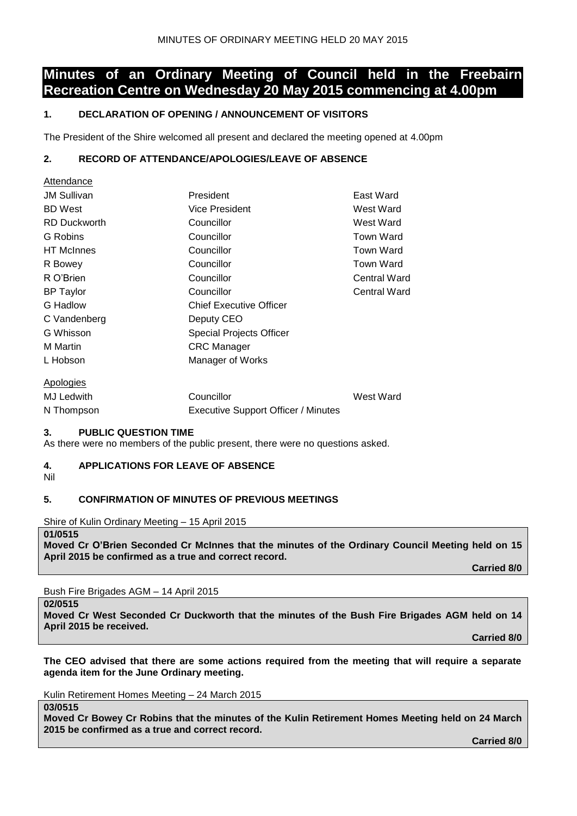# **Minutes of an Ordinary Meeting of Council held in the Freebairn Recreation Centre on Wednesday 20 May 2015 commencing at 4.00pm**

# **1. DECLARATION OF OPENING / ANNOUNCEMENT OF VISITORS**

The President of the Shire welcomed all present and declared the meeting opened at 4.00pm

# **2. RECORD OF ATTENDANCE/APOLOGIES/LEAVE OF ABSENCE**

| Allendance          |                                            |                     |
|---------------------|--------------------------------------------|---------------------|
| <b>JM Sullivan</b>  | President                                  | East Ward           |
| <b>BD</b> West      | <b>Vice President</b>                      | West Ward           |
| <b>RD Duckworth</b> | Councillor                                 | West Ward           |
| G Robins            | Councillor                                 | <b>Town Ward</b>    |
| <b>HT</b> McInnes   | Councillor                                 | <b>Town Ward</b>    |
| R Bowey             | Councillor                                 | Town Ward           |
| R O'Brien           | Councillor                                 | <b>Central Ward</b> |
| <b>BP</b> Taylor    | Councillor                                 | <b>Central Ward</b> |
| G Hadlow            | <b>Chief Executive Officer</b>             |                     |
| C Vandenberg        | Deputy CEO                                 |                     |
| G Whisson           | Special Projects Officer                   |                     |
| M Martin            | <b>CRC</b> Manager                         |                     |
| L Hobson            | Manager of Works                           |                     |
| Apologies           |                                            |                     |
| <b>MJ Ledwith</b>   | Councillor                                 | West Ward           |
| N Thompson          | <b>Executive Support Officer / Minutes</b> |                     |

# **3. PUBLIC QUESTION TIME**

As there were no members of the public present, there were no questions asked.

# **4. APPLICATIONS FOR LEAVE OF ABSENCE**

Nil

Attendance

# **5. CONFIRMATION OF MINUTES OF PREVIOUS MEETINGS**

Shire of Kulin Ordinary Meeting – 15 April 2015

#### **01/0515**

**Moved Cr O'Brien Seconded Cr McInnes that the minutes of the Ordinary Council Meeting held on 15 April 2015 be confirmed as a true and correct record.**

**Carried 8/0**

Bush Fire Brigades AGM – 14 April 2015

**02/0515**

**03/0515**

**Moved Cr West Seconded Cr Duckworth that the minutes of the Bush Fire Brigades AGM held on 14 April 2015 be received.**

**Carried 8/0**

**The CEO advised that there are some actions required from the meeting that will require a separate agenda item for the June Ordinary meeting.**

Kulin Retirement Homes Meeting – 24 March 2015

**Moved Cr Bowey Cr Robins that the minutes of the Kulin Retirement Homes Meeting held on 24 March 2015 be confirmed as a true and correct record.**

**Carried 8/0**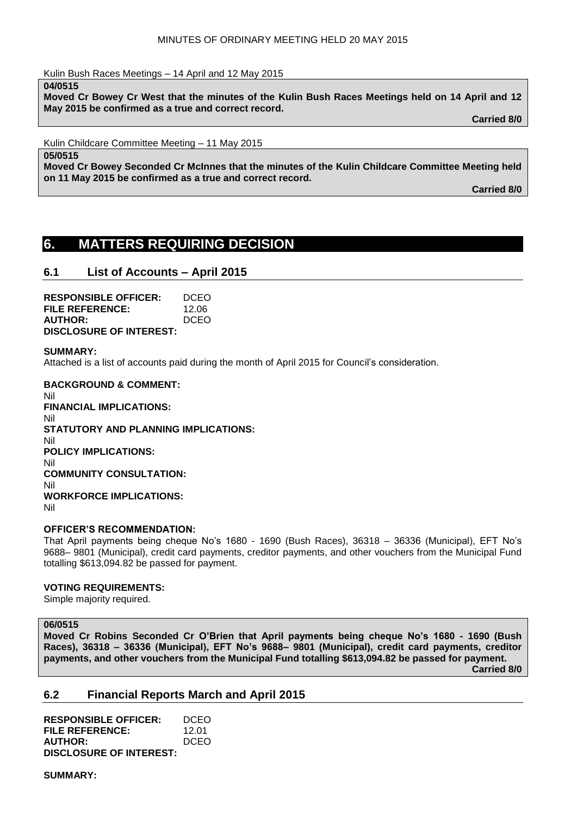Kulin Bush Races Meetings – 14 April and 12 May 2015

**04/0515**

**Moved Cr Bowey Cr West that the minutes of the Kulin Bush Races Meetings held on 14 April and 12 May 2015 be confirmed as a true and correct record.**

**Carried 8/0**

Kulin Childcare Committee Meeting – 11 May 2015

**05/0515**

**Moved Cr Bowey Seconded Cr McInnes that the minutes of the Kulin Childcare Committee Meeting held on 11 May 2015 be confirmed as a true and correct record.**

**Carried 8/0**

# **6. MATTERS REQUIRING DECISION**

# **6.1 List of Accounts – April 2015**

| <b>RESPONSIBLE OFFICER:</b>    | DCEO        |
|--------------------------------|-------------|
| FILE REFERENCE:                | 12.06       |
| <b>AUTHOR:</b>                 | <b>DCEO</b> |
| <b>DISCLOSURE OF INTEREST:</b> |             |

#### **SUMMARY:**

Attached is a list of accounts paid during the month of April 2015 for Council's consideration.

**BACKGROUND & COMMENT:** Nil **FINANCIAL IMPLICATIONS:** Nil **STATUTORY AND PLANNING IMPLICATIONS:** Nil **POLICY IMPLICATIONS:** Nil **COMMUNITY CONSULTATION:** Nil **WORKFORCE IMPLICATIONS:** Nil

#### **OFFICER'S RECOMMENDATION:**

That April payments being cheque No's 1680 - 1690 (Bush Races), 36318 – 36336 (Municipal), EFT No's 9688– 9801 (Municipal), credit card payments, creditor payments, and other vouchers from the Municipal Fund totalling \$613,094.82 be passed for payment.

#### **VOTING REQUIREMENTS:**

Simple majority required.

#### **06/0515**

**Moved Cr Robins Seconded Cr O'Brien that April payments being cheque No's 1680 - 1690 (Bush Races), 36318 – 36336 (Municipal), EFT No's 9688– 9801 (Municipal), credit card payments, creditor payments, and other vouchers from the Municipal Fund totalling \$613,094.82 be passed for payment. Carried 8/0**

# **6.2 Financial Reports March and April 2015**

| <b>RESPONSIBLE OFFICER:</b>    | DCEO        |
|--------------------------------|-------------|
| <b>FILE REFERENCE:</b>         | 12.01       |
| <b>AUTHOR:</b>                 | <b>DCEO</b> |
| <b>DISCLOSURE OF INTEREST:</b> |             |

**SUMMARY:**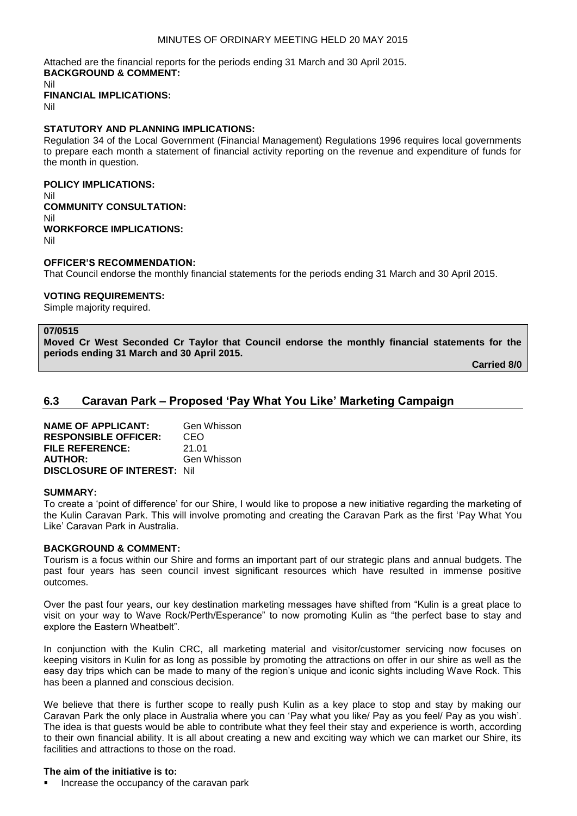### MINUTES OF ORDINARY MEETING HELD 20 MAY 2015

Attached are the financial reports for the periods ending 31 March and 30 April 2015. **BACKGROUND & COMMENT:**

Nil

**FINANCIAL IMPLICATIONS:**

Nil

### **STATUTORY AND PLANNING IMPLICATIONS:**

Regulation 34 of the Local Government (Financial Management) Regulations 1996 requires local governments to prepare each month a statement of financial activity reporting on the revenue and expenditure of funds for the month in question.

# **POLICY IMPLICATIONS:**

Nil **COMMUNITY CONSULTATION:** Nil **WORKFORCE IMPLICATIONS:** Nil

### **OFFICER'S RECOMMENDATION:**

That Council endorse the monthly financial statements for the periods ending 31 March and 30 April 2015.

# **VOTING REQUIREMENTS:**

Simple majority required.

#### **07/0515**

**Moved Cr West Seconded Cr Taylor that Council endorse the monthly financial statements for the periods ending 31 March and 30 April 2015.**

**Carried 8/0**

# **6.3 Caravan Park – Proposed 'Pay What You Like' Marketing Campaign**

| <b>NAME OF APPLICANT:</b>           | Gen Whisson |
|-------------------------------------|-------------|
| <b>RESPONSIBLE OFFICER:</b>         | CEO         |
| <b>FILE REFERENCE:</b>              | 21.01       |
| <b>AUTHOR:</b>                      | Gen Whisson |
| <b>DISCLOSURE OF INTEREST: Nill</b> |             |

#### **SUMMARY:**

To create a 'point of difference' for our Shire, I would like to propose a new initiative regarding the marketing of the Kulin Caravan Park. This will involve promoting and creating the Caravan Park as the first 'Pay What You Like' Caravan Park in Australia.

### **BACKGROUND & COMMENT:**

Tourism is a focus within our Shire and forms an important part of our strategic plans and annual budgets. The past four years has seen council invest significant resources which have resulted in immense positive outcomes.

Over the past four years, our key destination marketing messages have shifted from "Kulin is a great place to visit on your way to Wave Rock/Perth/Esperance" to now promoting Kulin as "the perfect base to stay and explore the Eastern Wheatbelt".

In conjunction with the Kulin CRC, all marketing material and visitor/customer servicing now focuses on keeping visitors in Kulin for as long as possible by promoting the attractions on offer in our shire as well as the easy day trips which can be made to many of the region's unique and iconic sights including Wave Rock. This has been a planned and conscious decision.

We believe that there is further scope to really push Kulin as a key place to stop and stay by making our Caravan Park the only place in Australia where you can 'Pay what you like/ Pay as you feel/ Pay as you wish'. The idea is that guests would be able to contribute what they feel their stay and experience is worth, according to their own financial ability. It is all about creating a new and exciting way which we can market our Shire, its facilities and attractions to those on the road.

# **The aim of the initiative is to:**

Increase the occupancy of the caravan park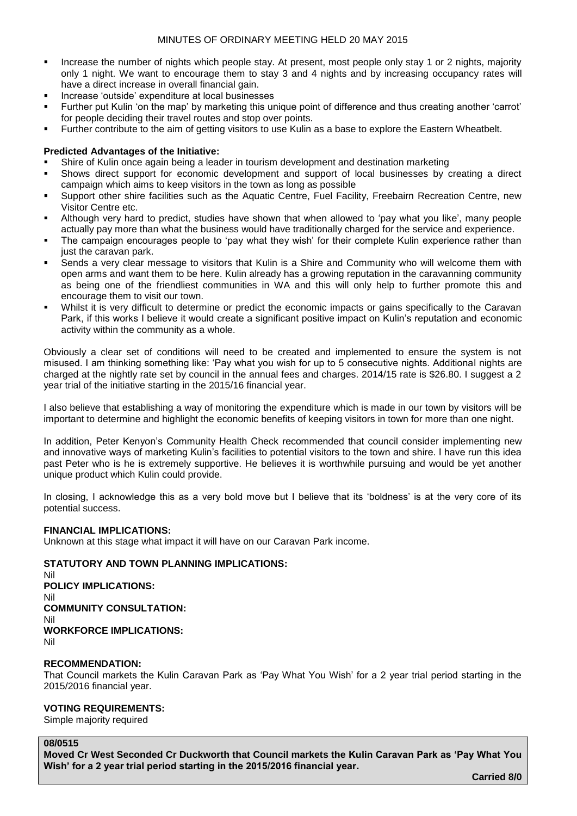- Increase the number of nights which people stay. At present, most people only stay 1 or 2 nights, majority only 1 night. We want to encourage them to stay 3 and 4 nights and by increasing occupancy rates will have a direct increase in overall financial gain.
- Increase 'outside' expenditure at local businesses
- Further put Kulin 'on the map' by marketing this unique point of difference and thus creating another 'carrot' for people deciding their travel routes and stop over points.
- Further contribute to the aim of getting visitors to use Kulin as a base to explore the Eastern Wheatbelt.

# **Predicted Advantages of the Initiative:**

- Shire of Kulin once again being a leader in tourism development and destination marketing
- Shows direct support for economic development and support of local businesses by creating a direct campaign which aims to keep visitors in the town as long as possible
- Support other shire facilities such as the Aquatic Centre, Fuel Facility, Freebairn Recreation Centre, new Visitor Centre etc.
- Although very hard to predict, studies have shown that when allowed to 'pay what you like', many people actually pay more than what the business would have traditionally charged for the service and experience.
- The campaign encourages people to 'pay what they wish' for their complete Kulin experience rather than just the caravan park.
- Sends a very clear message to visitors that Kulin is a Shire and Community who will welcome them with open arms and want them to be here. Kulin already has a growing reputation in the caravanning community as being one of the friendliest communities in WA and this will only help to further promote this and encourage them to visit our town.
- Whilst it is very difficult to determine or predict the economic impacts or gains specifically to the Caravan Park, if this works I believe it would create a significant positive impact on Kulin's reputation and economic activity within the community as a whole.

Obviously a clear set of conditions will need to be created and implemented to ensure the system is not misused. I am thinking something like: 'Pay what you wish for up to 5 consecutive nights. Additional nights are charged at the nightly rate set by council in the annual fees and charges. 2014/15 rate is \$26.80. I suggest a 2 year trial of the initiative starting in the 2015/16 financial year.

I also believe that establishing a way of monitoring the expenditure which is made in our town by visitors will be important to determine and highlight the economic benefits of keeping visitors in town for more than one night.

In addition, Peter Kenyon's Community Health Check recommended that council consider implementing new and innovative ways of marketing Kulin's facilities to potential visitors to the town and shire. I have run this idea past Peter who is he is extremely supportive. He believes it is worthwhile pursuing and would be yet another unique product which Kulin could provide.

In closing, I acknowledge this as a very bold move but I believe that its 'boldness' is at the very core of its potential success.

# **FINANCIAL IMPLICATIONS:**

Unknown at this stage what impact it will have on our Caravan Park income.

# **STATUTORY AND TOWN PLANNING IMPLICATIONS:**

Nil **POLICY IMPLICATIONS:** Nil **COMMUNITY CONSULTATION:** Nil **WORKFORCE IMPLICATIONS:** Nil

### **RECOMMENDATION:**

That Council markets the Kulin Caravan Park as 'Pay What You Wish' for a 2 year trial period starting in the 2015/2016 financial year.

# **VOTING REQUIREMENTS:**

Simple majority required

#### **08/0515**

**Moved Cr West Seconded Cr Duckworth that Council markets the Kulin Caravan Park as 'Pay What You Wish' for a 2 year trial period starting in the 2015/2016 financial year.**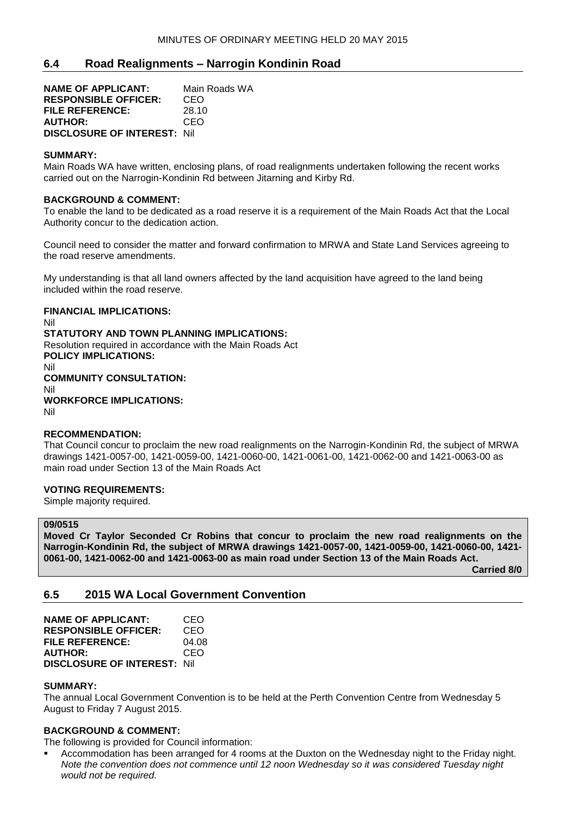# **6.4 Road Realignments – Narrogin Kondinin Road**

**NAME OF APPLICANT:** Main Roads WA **RESPONSIBLE OFFICER:** CEO **FILE REFERENCE:** 28.10 **AUTHOR:** CEO **DISCLOSURE OF INTEREST:** Nil

### **SUMMARY:**

Main Roads WA have written, enclosing plans, of road realignments undertaken following the recent works carried out on the Narrogin-Kondinin Rd between Jitarning and Kirby Rd.

### **BACKGROUND & COMMENT:**

To enable the land to be dedicated as a road reserve it is a requirement of the Main Roads Act that the Local Authority concur to the dedication action.

Council need to consider the matter and forward confirmation to MRWA and State Land Services agreeing to the road reserve amendments.

My understanding is that all land owners affected by the land acquisition have agreed to the land being included within the road reserve.

### **FINANCIAL IMPLICATIONS:**

Nil **STATUTORY AND TOWN PLANNING IMPLICATIONS:** Resolution required in accordance with the Main Roads Act **POLICY IMPLICATIONS:** Nil **COMMUNITY CONSULTATION:** Nil **WORKFORCE IMPLICATIONS:** Nil

#### **RECOMMENDATION:**

That Council concur to proclaim the new road realignments on the Narrogin-Kondinin Rd, the subject of MRWA drawings 1421-0057-00, 1421-0059-00, 1421-0060-00, 1421-0061-00, 1421-0062-00 and 1421-0063-00 as main road under Section 13 of the Main Roads Act

#### **VOTING REQUIREMENTS:**

Simple majority required.

### **09/0515**

**Moved Cr Taylor Seconded Cr Robins that concur to proclaim the new road realignments on the Narrogin-Kondinin Rd, the subject of MRWA drawings 1421-0057-00, 1421-0059-00, 1421-0060-00, 1421- 0061-00, 1421-0062-00 and 1421-0063-00 as main road under Section 13 of the Main Roads Act.**

**Carried 8/0**

# **6.5 2015 WA Local Government Convention**

| <b>NAME OF APPLICANT:</b>           | CEO   |
|-------------------------------------|-------|
| <b>RESPONSIBLE OFFICER:</b>         | CEO   |
| <b>FILE REFERENCE:</b>              | 04.08 |
| <b>AUTHOR:</b>                      | CEO   |
| <b>DISCLOSURE OF INTEREST: Nill</b> |       |

# **SUMMARY:**

The annual Local Government Convention is to be held at the Perth Convention Centre from Wednesday 5 August to Friday 7 August 2015.

# **BACKGROUND & COMMENT:**

The following is provided for Council information:

 Accommodation has been arranged for 4 rooms at the Duxton on the Wednesday night to the Friday night. *Note the convention does not commence until 12 noon Wednesday so it was considered Tuesday night would not be required.*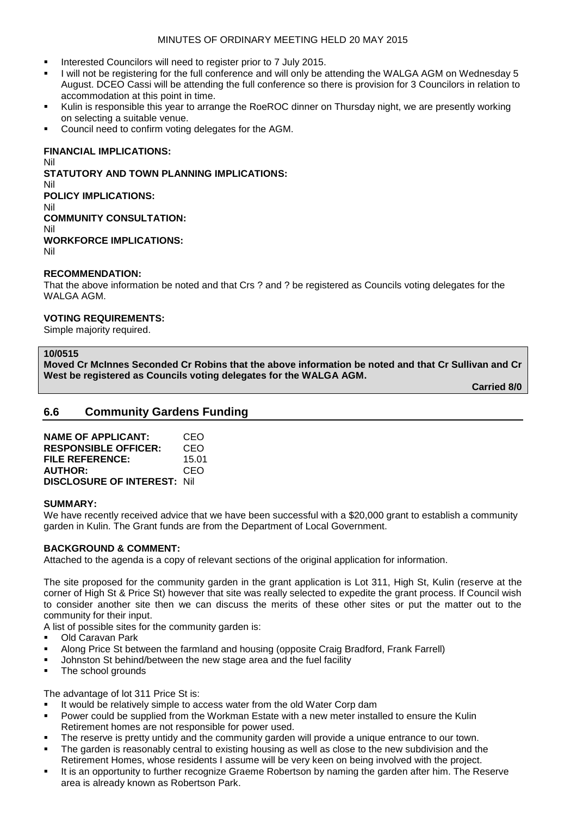### MINUTES OF ORDINARY MEETING HELD 20 MAY 2015

- Interested Councilors will need to register prior to 7 July 2015.
- I will not be registering for the full conference and will only be attending the WALGA AGM on Wednesday 5 August. DCEO Cassi will be attending the full conference so there is provision for 3 Councilors in relation to accommodation at this point in time.
- Kulin is responsible this year to arrange the RoeROC dinner on Thursday night, we are presently working on selecting a suitable venue.
- Council need to confirm voting delegates for the AGM.

### **FINANCIAL IMPLICATIONS:**

Nil **STATUTORY AND TOWN PLANNING IMPLICATIONS:** Nil **POLICY IMPLICATIONS:** Nil **COMMUNITY CONSULTATION:** Nil **WORKFORCE IMPLICATIONS:** Nil

### **RECOMMENDATION:**

That the above information be noted and that Crs ? and ? be registered as Councils voting delegates for the WALGA AGM.

#### **VOTING REQUIREMENTS:**

Simple majority required.

#### **10/0515**

**Moved Cr McInnes Seconded Cr Robins that the above information be noted and that Cr Sullivan and Cr West be registered as Councils voting delegates for the WALGA AGM.**

**Carried 8/0**

# **6.6 Community Gardens Funding**

| <b>NAME OF APPLICANT:</b>           | CEO   |
|-------------------------------------|-------|
| <b>RESPONSIBLE OFFICER:</b>         | CEO   |
| FILE REFERENCE:                     | 15.01 |
| <b>AUTHOR:</b>                      | CEO   |
| <b>DISCLOSURE OF INTEREST: Nill</b> |       |

#### **SUMMARY:**

We have recently received advice that we have been successful with a \$20,000 grant to establish a community garden in Kulin. The Grant funds are from the Department of Local Government.

# **BACKGROUND & COMMENT:**

Attached to the agenda is a copy of relevant sections of the original application for information.

The site proposed for the community garden in the grant application is Lot 311, High St, Kulin (reserve at the corner of High St & Price St) however that site was really selected to expedite the grant process. If Council wish to consider another site then we can discuss the merits of these other sites or put the matter out to the community for their input.

A list of possible sites for the community garden is:

- Old Caravan Park
- Along Price St between the farmland and housing (opposite Craig Bradford, Frank Farrell)
- Johnston St behind/between the new stage area and the fuel facility
- The school grounds

The advantage of lot 311 Price St is:

- It would be relatively simple to access water from the old Water Corp dam
- Power could be supplied from the Workman Estate with a new meter installed to ensure the Kulin Retirement homes are not responsible for power used.
- The reserve is pretty untidy and the community garden will provide a unique entrance to our town.
- The garden is reasonably central to existing housing as well as close to the new subdivision and the Retirement Homes, whose residents I assume will be very keen on being involved with the project.
- It is an opportunity to further recognize Graeme Robertson by naming the garden after him. The Reserve area is already known as Robertson Park.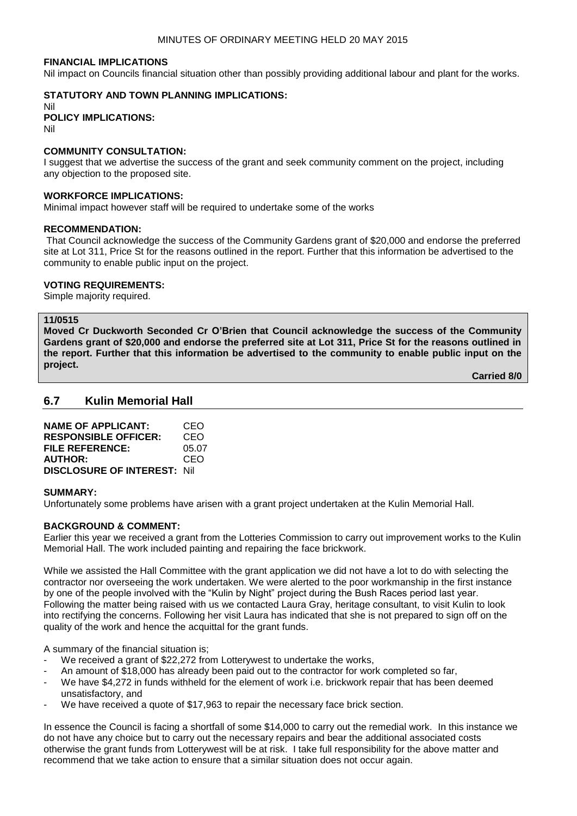#### **FINANCIAL IMPLICATIONS**

Nil impact on Councils financial situation other than possibly providing additional labour and plant for the works.

# **STATUTORY AND TOWN PLANNING IMPLICATIONS:**

Nil **POLICY IMPLICATIONS:** Nil

### **COMMUNITY CONSULTATION:**

I suggest that we advertise the success of the grant and seek community comment on the project, including any objection to the proposed site.

#### **WORKFORCE IMPLICATIONS:**

Minimal impact however staff will be required to undertake some of the works

#### **RECOMMENDATION:**

That Council acknowledge the success of the Community Gardens grant of \$20,000 and endorse the preferred site at Lot 311, Price St for the reasons outlined in the report. Further that this information be advertised to the community to enable public input on the project.

#### **VOTING REQUIREMENTS:**

Simple majority required.

# **11/0515**

**Moved Cr Duckworth Seconded Cr O'Brien that Council acknowledge the success of the Community Gardens grant of \$20,000 and endorse the preferred site at Lot 311, Price St for the reasons outlined in the report. Further that this information be advertised to the community to enable public input on the project.**

**Carried 8/0**

# **6.7 Kulin Memorial Hall**

| <b>NAME OF APPLICANT:</b>           | CEO   |
|-------------------------------------|-------|
| <b>RESPONSIBLE OFFICER:</b>         | CEO   |
| FILE REFERENCE:                     | 05.07 |
| <b>AUTHOR:</b>                      | CEO   |
| <b>DISCLOSURE OF INTEREST: Nill</b> |       |

#### **SUMMARY:**

Unfortunately some problems have arisen with a grant project undertaken at the Kulin Memorial Hall.

### **BACKGROUND & COMMENT:**

Earlier this year we received a grant from the Lotteries Commission to carry out improvement works to the Kulin Memorial Hall. The work included painting and repairing the face brickwork.

While we assisted the Hall Committee with the grant application we did not have a lot to do with selecting the contractor nor overseeing the work undertaken. We were alerted to the poor workmanship in the first instance by one of the people involved with the "Kulin by Night" project during the Bush Races period last year. Following the matter being raised with us we contacted Laura Gray, heritage consultant, to visit Kulin to look into rectifying the concerns. Following her visit Laura has indicated that she is not prepared to sign off on the quality of the work and hence the acquittal for the grant funds.

A summary of the financial situation is;

- We received a grant of \$22,272 from Lotterywest to undertake the works,
- An amount of \$18,000 has already been paid out to the contractor for work completed so far,
- We have \$4,272 in funds withheld for the element of work i.e. brickwork repair that has been deemed unsatisfactory, and
- We have received a quote of \$17,963 to repair the necessary face brick section.

In essence the Council is facing a shortfall of some \$14,000 to carry out the remedial work. In this instance we do not have any choice but to carry out the necessary repairs and bear the additional associated costs otherwise the grant funds from Lotterywest will be at risk. I take full responsibility for the above matter and recommend that we take action to ensure that a similar situation does not occur again.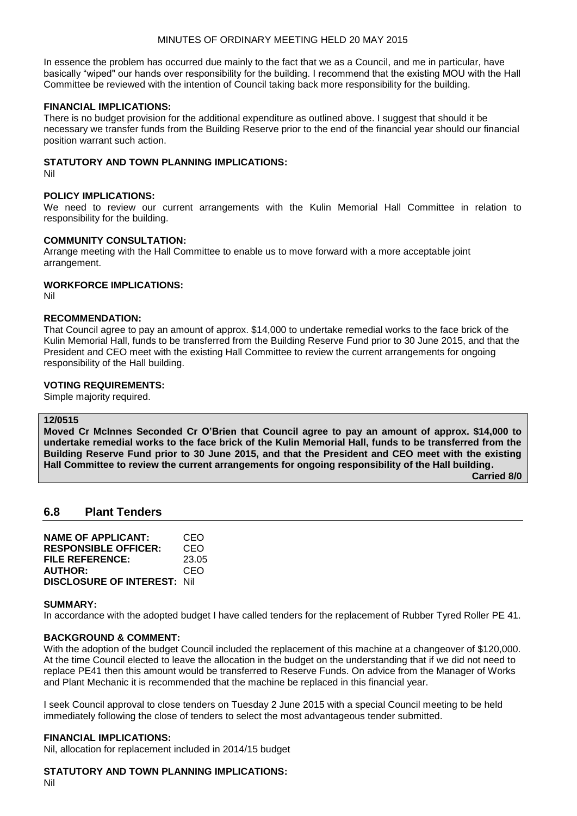### MINUTES OF ORDINARY MEETING HELD 20 MAY 2015

In essence the problem has occurred due mainly to the fact that we as a Council, and me in particular, have basically "wiped" our hands over responsibility for the building. I recommend that the existing MOU with the Hall Committee be reviewed with the intention of Council taking back more responsibility for the building.

### **FINANCIAL IMPLICATIONS:**

There is no budget provision for the additional expenditure as outlined above. I suggest that should it be necessary we transfer funds from the Building Reserve prior to the end of the financial year should our financial position warrant such action.

### **STATUTORY AND TOWN PLANNING IMPLICATIONS:**

Nil

### **POLICY IMPLICATIONS:**

We need to review our current arrangements with the Kulin Memorial Hall Committee in relation to responsibility for the building.

#### **COMMUNITY CONSULTATION:**

Arrange meeting with the Hall Committee to enable us to move forward with a more acceptable joint arrangement.

# **WORKFORCE IMPLICATIONS:**

Nil

### **RECOMMENDATION:**

That Council agree to pay an amount of approx. \$14,000 to undertake remedial works to the face brick of the Kulin Memorial Hall, funds to be transferred from the Building Reserve Fund prior to 30 June 2015, and that the President and CEO meet with the existing Hall Committee to review the current arrangements for ongoing responsibility of the Hall building.

### **VOTING REQUIREMENTS:**

Simple majority required.

### **12/0515**

**Moved Cr McInnes Seconded Cr O'Brien that Council agree to pay an amount of approx. \$14,000 to undertake remedial works to the face brick of the Kulin Memorial Hall, funds to be transferred from the Building Reserve Fund prior to 30 June 2015, and that the President and CEO meet with the existing Hall Committee to review the current arrangements for ongoing responsibility of the Hall building.**

**Carried 8/0**

# **6.8 Plant Tenders**

| <b>NAME OF APPLICANT:</b>          | CEO   |
|------------------------------------|-------|
| <b>RESPONSIBLE OFFICER:</b>        | CEO   |
| FILE REFERENCE:                    | 23.05 |
| <b>AUTHOR:</b>                     | CEO   |
| <b>DISCLOSURE OF INTEREST: Nil</b> |       |

#### **SUMMARY:**

In accordance with the adopted budget I have called tenders for the replacement of Rubber Tyred Roller PE 41.

# **BACKGROUND & COMMENT:**

With the adoption of the budget Council included the replacement of this machine at a changeover of \$120,000. At the time Council elected to leave the allocation in the budget on the understanding that if we did not need to replace PE41 then this amount would be transferred to Reserve Funds. On advice from the Manager of Works and Plant Mechanic it is recommended that the machine be replaced in this financial year.

I seek Council approval to close tenders on Tuesday 2 June 2015 with a special Council meeting to be held immediately following the close of tenders to select the most advantageous tender submitted.

#### **FINANCIAL IMPLICATIONS:**

Nil, allocation for replacement included in 2014/15 budget

# **STATUTORY AND TOWN PLANNING IMPLICATIONS:**

Nil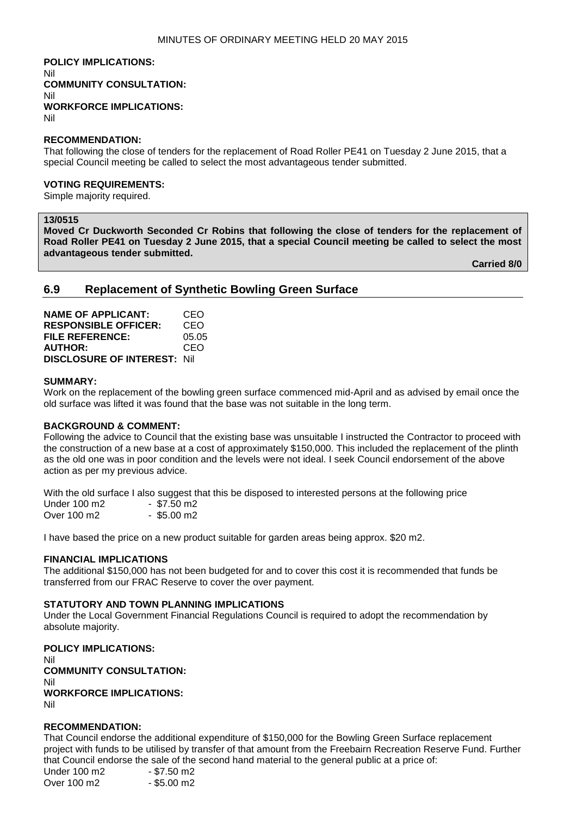**POLICY IMPLICATIONS:** Nil **COMMUNITY CONSULTATION:** Nil **WORKFORCE IMPLICATIONS:** Nil

### **RECOMMENDATION:**

That following the close of tenders for the replacement of Road Roller PE41 on Tuesday 2 June 2015, that a special Council meeting be called to select the most advantageous tender submitted.

#### **VOTING REQUIREMENTS:**

Simple majority required.

# **13/0515**

**Moved Cr Duckworth Seconded Cr Robins that following the close of tenders for the replacement of Road Roller PE41 on Tuesday 2 June 2015, that a special Council meeting be called to select the most advantageous tender submitted.**

**Carried 8/0**

# **6.9 Replacement of Synthetic Bowling Green Surface**

| <b>NAME OF APPLICANT:</b>           | CEO   |
|-------------------------------------|-------|
| <b>RESPONSIBLE OFFICER:</b>         | CEO   |
| FILE REFERENCE:                     | 05.05 |
| <b>AUTHOR:</b>                      | CEO   |
| <b>DISCLOSURE OF INTEREST: Nill</b> |       |

#### **SUMMARY:**

Work on the replacement of the bowling green surface commenced mid-April and as advised by email once the old surface was lifted it was found that the base was not suitable in the long term.

#### **BACKGROUND & COMMENT:**

Following the advice to Council that the existing base was unsuitable I instructed the Contractor to proceed with the construction of a new base at a cost of approximately \$150,000. This included the replacement of the plinth as the old one was in poor condition and the levels were not ideal. I seek Council endorsement of the above action as per my previous advice.

With the old surface I also suggest that this be disposed to interested persons at the following price<br>Under 100 m2 - \$7.50 m2 Under 100 m2 Over 100 m2 - \$5.00 m2

I have based the price on a new product suitable for garden areas being approx. \$20 m2.

#### **FINANCIAL IMPLICATIONS**

The additional \$150,000 has not been budgeted for and to cover this cost it is recommended that funds be transferred from our FRAC Reserve to cover the over payment.

#### **STATUTORY AND TOWN PLANNING IMPLICATIONS**

Under the Local Government Financial Regulations Council is required to adopt the recommendation by absolute majority.

**POLICY IMPLICATIONS:** Nil **COMMUNITY CONSULTATION:** Nil **WORKFORCE IMPLICATIONS:** Nil

#### **RECOMMENDATION:**

That Council endorse the additional expenditure of \$150,000 for the Bowling Green Surface replacement project with funds to be utilised by transfer of that amount from the Freebairn Recreation Reserve Fund. Further that Council endorse the sale of the second hand material to the general public at a price of:

Under 100 m2 - \$7.50 m2 Over 100 m2 - \$5.00 m2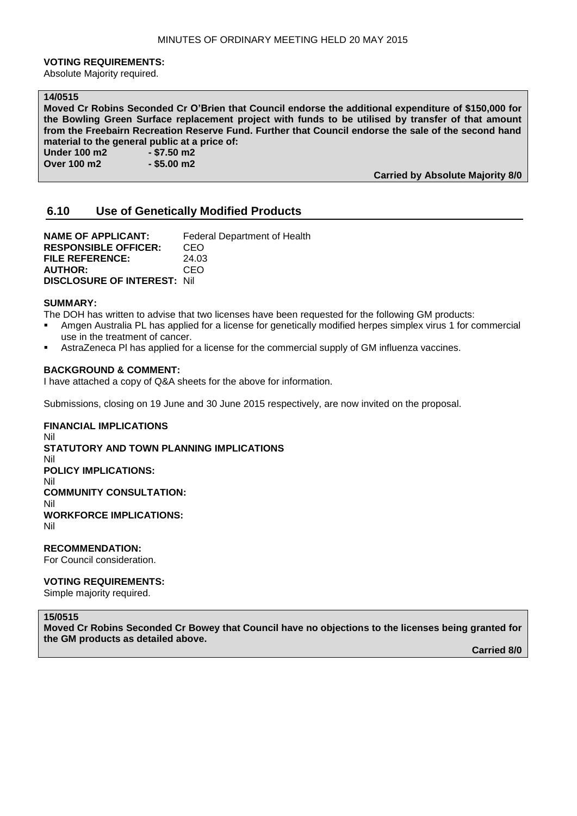#### **VOTING REQUIREMENTS:**

Absolute Majority required.

### **14/0515**

**Moved Cr Robins Seconded Cr O'Brien that Council endorse the additional expenditure of \$150,000 for the Bowling Green Surface replacement project with funds to be utilised by transfer of that amount from the Freebairn Recreation Reserve Fund. Further that Council endorse the sale of the second hand material to the general public at a price of:**

**Under 100 m2 - \$7.50 m2 Over 100 m2 - \$5.00 m2** 

**Carried by Absolute Majority 8/0**

# **6.10 Use of Genetically Modified Products**

**NAME OF APPLICANT:** Federal Department of Health **RESPONSIBLE OFFICER:** CEO **FILE REFERENCE:** 24.03 **AUTHOR:** CEO **DISCLOSURE OF INTEREST:** Nil

### **SUMMARY:**

The DOH has written to advise that two licenses have been requested for the following GM products:

- Amgen Australia PL has applied for a license for genetically modified herpes simplex virus 1 for commercial use in the treatment of cancer.
- AstraZeneca Pl has applied for a license for the commercial supply of GM influenza vaccines.

#### **BACKGROUND & COMMENT:**

I have attached a copy of Q&A sheets for the above for information.

Submissions, closing on 19 June and 30 June 2015 respectively, are now invited on the proposal.

### **FINANCIAL IMPLICATIONS** Nil **STATUTORY AND TOWN PLANNING IMPLICATIONS** Nil **POLICY IMPLICATIONS:** Nil **COMMUNITY CONSULTATION:** Nil **WORKFORCE IMPLICATIONS:** Nil

**RECOMMENDATION:** For Council consideration.

#### **VOTING REQUIREMENTS:**

Simple majority required.

#### **15/0515**

**Moved Cr Robins Seconded Cr Bowey that Council have no objections to the licenses being granted for the GM products as detailed above.**

**Carried 8/0**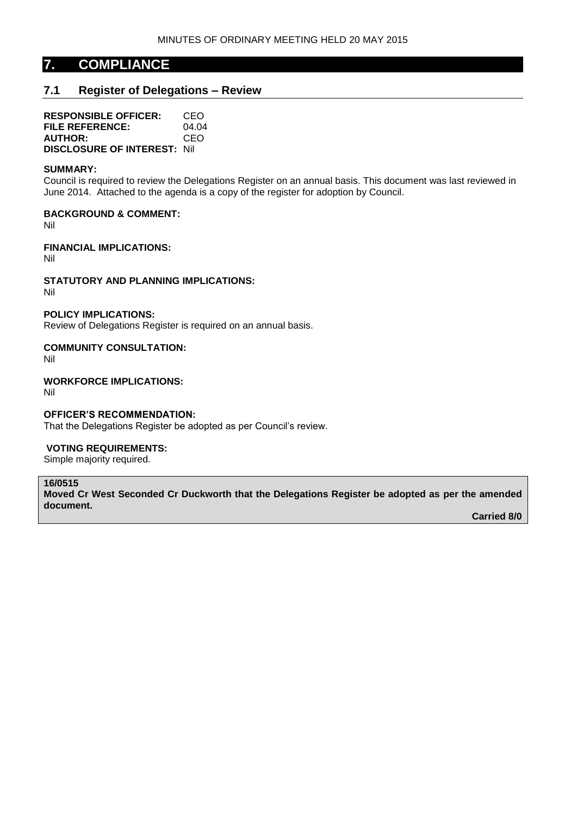# **7. COMPLIANCE**

# **7.1 Register of Delegations – Review**

**RESPONSIBLE OFFICER:** CEO **FILE REFERENCE:** 04.04 **AUTHOR:** CEO **DISCLOSURE OF INTEREST:** Nil

#### **SUMMARY:**

Council is required to review the Delegations Register on an annual basis. This document was last reviewed in June 2014. Attached to the agenda is a copy of the register for adoption by Council.

**BACKGROUND & COMMENT:**

Nil

**FINANCIAL IMPLICATIONS:**

Nil

**STATUTORY AND PLANNING IMPLICATIONS:** Nil

# **POLICY IMPLICATIONS:**

Review of Delegations Register is required on an annual basis.

### **COMMUNITY CONSULTATION:**

Nil

**WORKFORCE IMPLICATIONS:**

Nil

#### **OFFICER'S RECOMMENDATION:**

That the Delegations Register be adopted as per Council's review.

#### **VOTING REQUIREMENTS:**

Simple majority required.

# **16/0515**

**Moved Cr West Seconded Cr Duckworth that the Delegations Register be adopted as per the amended document.**

**Carried 8/0**